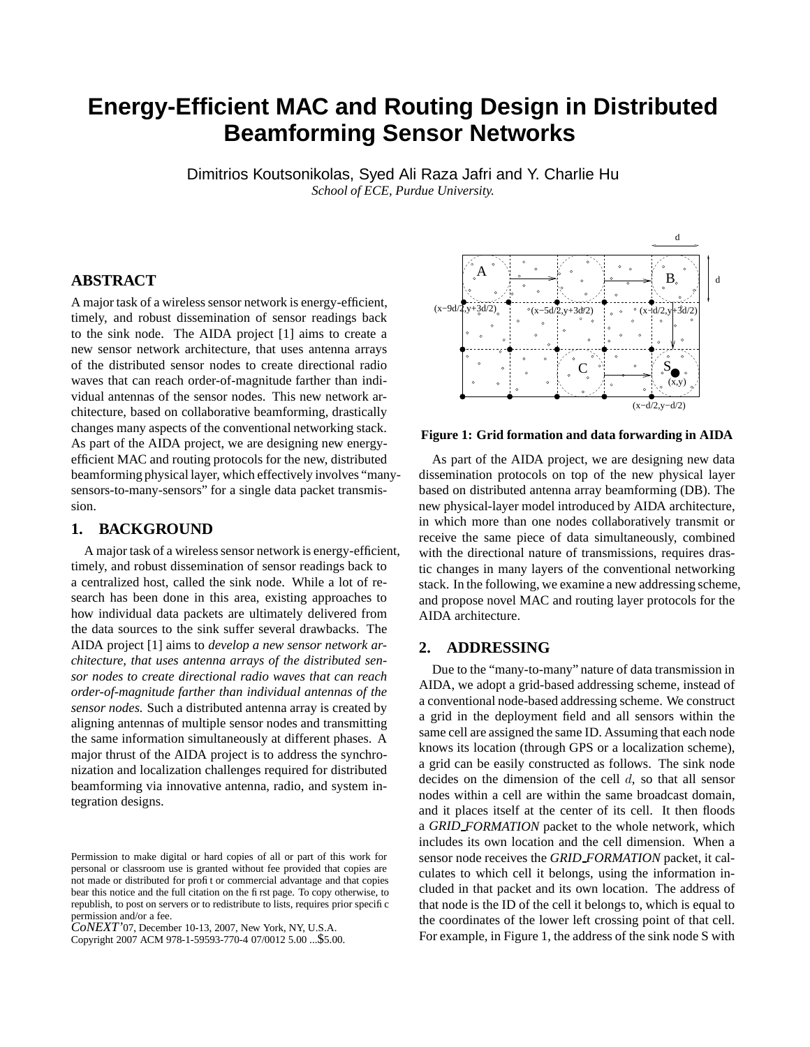# **Energy-Efficient MAC and Routing Design in Distributed Beamforming Sensor Networks**

Dimitrios Koutsonikolas, Syed Ali Raza Jafri and Y. Charlie Hu *School of ECE, Purdue University.*

# **ABSTRACT**

A major task of a wireless sensor network is energy-efficient, timely, and robust dissemination of sensor readings back to the sink node. The AIDA project [1] aims to create a new sensor network architecture, that uses antenna arrays of the distributed sensor nodes to create directional radio waves that can reach order-of-magnitude farther than individual antennas of the sensor nodes. This new network architecture, based on collaborative beamforming, drastically changes many aspects of the conventional networking stack. As part of the AIDA project, we are designing new energyefficient MAC and routing protocols for the new, distributed beamforming physical layer, which effectively involves "manysensors-to-many-sensors" for a single data packet transmission.

### **1. BACKGROUND**

A major task of a wireless sensor network is energy-efficient, timely, and robust dissemination of sensor readings back to a centralized host, called the sink node. While a lot of research has been done in this area, existing approaches to how individual data packets are ultimately delivered from the data sources to the sink suffer several drawbacks. The AIDA project [1] aims to *develop a new sensor network architecture, that uses antenna arrays of the distributed sensor nodes to create directional radio waves that can reach order-of-magnitude farther than individual antennas of the sensor nodes.* Such a distributed antenna array is created by aligning antennas of multiple sensor nodes and transmitting the same information simultaneously at different phases. A major thrust of the AIDA project is to address the synchronization and localization challenges required for distributed beamforming via innovative antenna, radio, and system integration designs.

Copyright 2007 ACM 978-1-59593-770-4 07/0012 5.00 ...\$5.00.



#### **Figure 1: Grid formation and data forwarding in AIDA**

As part of the AIDA project, we are designing new data dissemination protocols on top of the new physical layer based on distributed antenna array beamforming (DB). The new physical-layer model introduced by AIDA architecture, in which more than one nodes collaboratively transmit or receive the same piece of data simultaneously, combined with the directional nature of transmissions, requires drastic changes in many layers of the conventional networking stack. In the following, we examine a new addressing scheme, and propose novel MAC and routing layer protocols for the AIDA architecture.

#### **2. ADDRESSING**

Due to the "many-to-many" nature of data transmission in AIDA, we adopt a grid-based addressing scheme, instead of a conventional node-based addressing scheme. We construct a grid in the deployment field and all sensors within the same cell are assigned the same ID. Assuming that each node knows its location (through GPS or a localization scheme), a grid can be easily constructed as follows. The sink node decides on the dimension of the cell  $d$ , so that all sensor nodes within a cell are within the same broadcast domain, and it places itself at the center of its cell. It then floods a *GRID FORMATION* packet to the whole network, which includes its own location and the cell dimension. When a sensor node receives the *GRID FORMATION* packet, it calculates to which cell it belongs, using the information included in that packet and its own location. The address of that node is the ID of the cell it belongs to, which is equal to the coordinates of the lower left crossing point of that cell. For example, in Figure 1, the address of the sink node S with

Permission to make digital or hard copies of all or part of this work for personal or classroom use is granted without fee provided that copies are not made or distributed for profit or commercial advantage and that copies bear this notice and the full citation on the first page. To copy otherwise, to republish, to post on servers or to redistribute to lists, requires prior specific permission and/or a fee. *CoNEXT'*07, December 10-13, 2007, New York, NY, U.S.A.